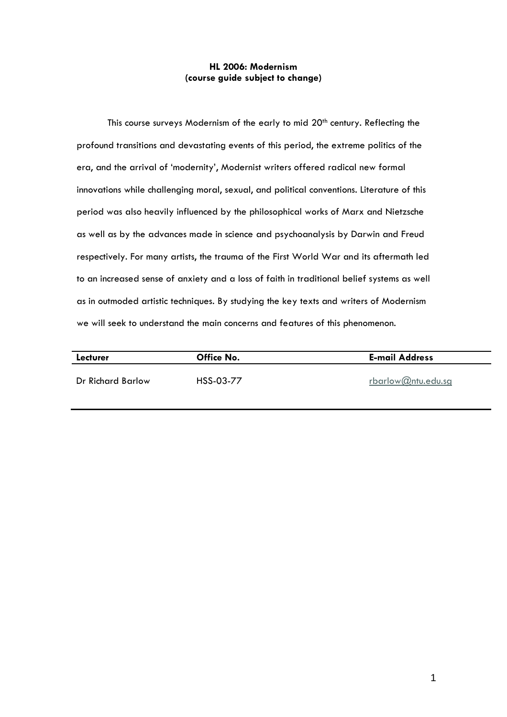## **HL 2006: Modernism (course guide subject to change)**

This course surveys Modernism of the early to mid 20<sup>th</sup> century. Reflecting the profound transitions and devastating events of this period, the extreme politics of the era, and the arrival of 'modernity', Modernist writers offered radical new formal innovations while challenging moral, sexual, and political conventions. Literature of this period was also heavily influenced by the philosophical works of Marx and Nietzsche as well as by the advances made in science and psychoanalysis by Darwin and Freud respectively. For many artists, the trauma of the First World War and its aftermath led to an increased sense of anxiety and a loss of faith in traditional belief systems as well as in outmoded artistic techniques. By studying the key texts and writers of Modernism we will seek to understand the main concerns and features of this phenomenon.

| Lecturer          | Office No. | <b>E-mail Address</b> |
|-------------------|------------|-----------------------|
| Dr Richard Barlow | HSS-03-77  | rbarlow@ntu.edu.sg    |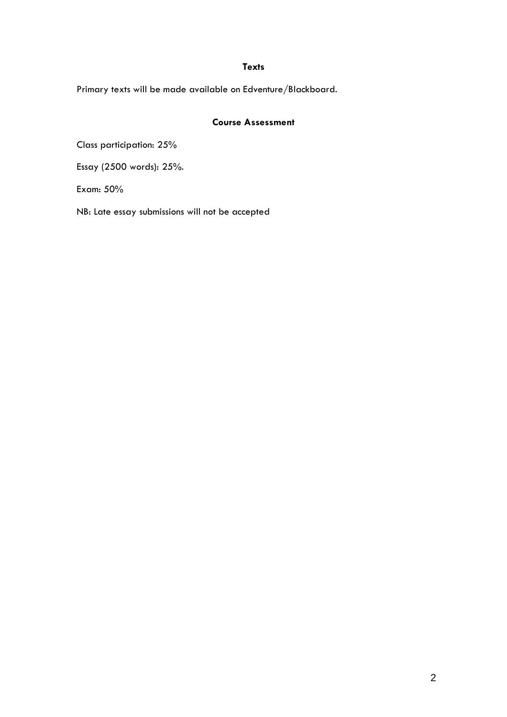## **Texts**

Primary texts will be made available on Edventure/Blackboard.

# **Course Assessment**

Class participation: 25%

Essay (2500 words): 25%.

Exam: 50%

NB: Late essay submissions will not be accepted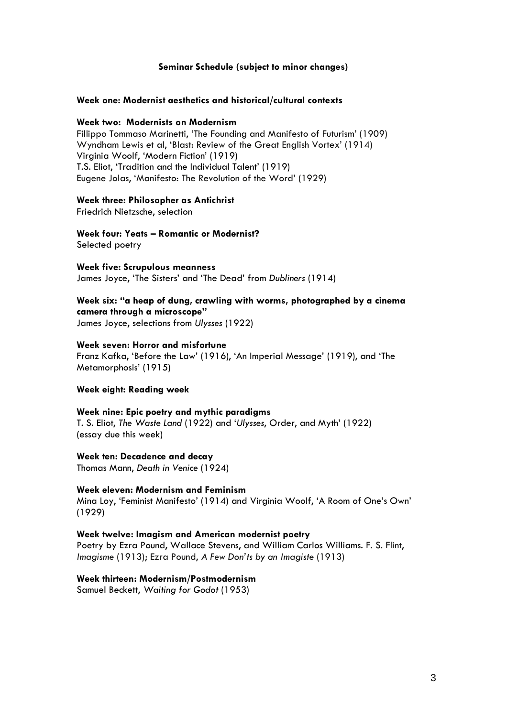## **Seminar Schedule (subject to minor changes)**

#### **Week one: Modernist aesthetics and historical/cultural contexts**

## **Week two: Modernists on Modernism**

Fillippo Tommaso Marinetti, 'The Founding and Manifesto of Futurism' (1909) Wyndham Lewis et al, 'Blast: Review of the Great English Vortex' (1914) Virginia Woolf, 'Modern Fiction' (1919) T.S. Eliot, 'Tradition and the Individual Talent' (1919) Eugene Jolas, 'Manifesto: The Revolution of the Word' (1929)

## **Week three: Philosopher as Antichrist**

Friedrich Nietzsche, selection

**Week four: Yeats – Romantic or Modernist?** Selected poetry

**Week five: Scrupulous meanness** James Joyce, 'The Sisters' and 'The Dead' from *Dubliners* (1914)

# **Week six: "a heap of dung, crawling with worms, photographed by a cinema camera through a microscope"**

James Joyce, selections from *Ulysses* (1922)

## **Week seven: Horror and misfortune**

Franz Kafka, 'Before the Law' (1916), 'An Imperial Message' (1919), and 'The Metamorphosis' (1915)

#### **Week eight: Reading week**

#### **Week nine: Epic poetry and mythic paradigms**

T. S. Eliot, *The Waste Land* (1922) and '*Ulysses*, Order, and Myth' (1922) (essay due this week)

#### **Week ten: Decadence and decay**

Thomas Mann, *Death in Venice* (1924)

## **Week eleven: Modernism and Feminism**

Mina Loy, 'Feminist Manifesto' (1914) and Virginia Woolf, 'A Room of One's Own' (1929)

#### **Week twelve: Imagism and American modernist poetry**

Poetry by Ezra Pound, Wallace Stevens, and William Carlos Williams. F. S. Flint, *Imagisme* (1913); Ezra Pound, *A Few Don'ts by an Imagiste* (1913)

#### **Week thirteen: Modernism/Postmodernism**

Samuel Beckett, *Waiting for Godot* (1953)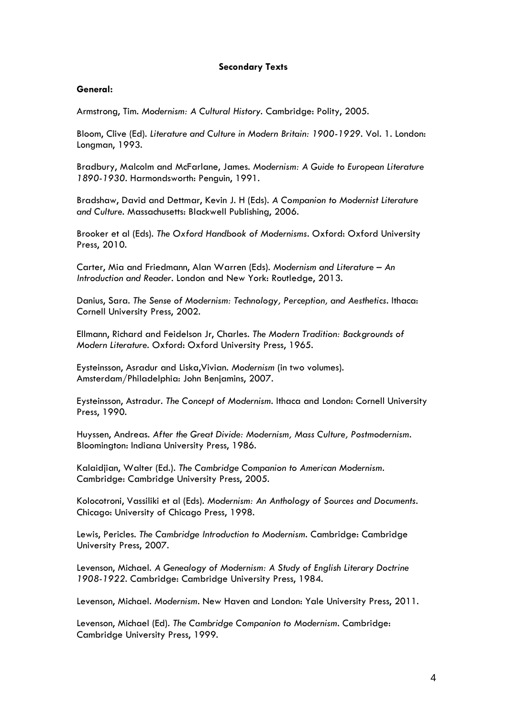## **Secondary Texts**

## **General:**

Armstrong, Tim. *Modernism: A Cultural History.* Cambridge: Polity, 2005.

Bloom, Clive (Ed). *Literature and Culture in Modern Britain: 1900-1929*. Vol. 1. London: Longman, 1993.

Bradbury, Malcolm and McFarlane, James. *Modernism: A Guide to European Literature 1890-1930*. Harmondsworth: Penguin, 1991.

Bradshaw, David and Dettmar, Kevin J. H (Eds). *A Companion to Modernist Literature and Culture*. Massachusetts: Blackwell Publishing, 2006.

Brooker et al (Eds). *The Oxford Handbook of Modernisms*. Oxford: Oxford University Press, 2010.

Carter, Mia and Friedmann, Alan Warren (Eds). *Modernism and Literature – An Introduction and Reader*. London and New York: Routledge, 2013.

Danius, Sara. *The Sense of Modernism: Technology, Perception, and Aesthetics*. Ithaca: Cornell University Press, 2002.

Ellmann, Richard and Feidelson Jr, Charles. *The Modern Tradition: Backgrounds of Modern Literature*. Oxford: Oxford University Press, 1965.

Eysteinsson, Asradur and Liska,Vivian. *Modernism* (in two volumes). Amsterdam/Philadelphia: John Benjamins, 2007.

Eysteinsson, Astradur. *The Concept of Modernism*. Ithaca and London: Cornell University Press, 1990.

Huyssen, Andreas. *After the Great Divide: Modernism, Mass Culture, Postmodernism*. Bloomington: Indiana University Press, 1986.

Kalaidjian, Walter (Ed.). *The Cambridge Companion to American Modernism*. Cambridge: Cambridge University Press, 2005.

Kolocotroni, Vassiliki et al (Eds). *Modernism: An Anthology of Sources and Documents*. Chicago: University of Chicago Press, 1998.

Lewis, Pericles. *The Cambridge Introduction to Modernism*. Cambridge: Cambridge University Press, 2007.

Levenson, Michael. *A Genealogy of Modernism: A Study of English Literary Doctrine 1908-1922*. Cambridge: Cambridge University Press, 1984.

Levenson, Michael. *Modernism*. New Haven and London: Yale University Press, 2011.

Levenson, Michael (Ed). *The Cambridge Companion to Modernism*. Cambridge: Cambridge University Press, 1999.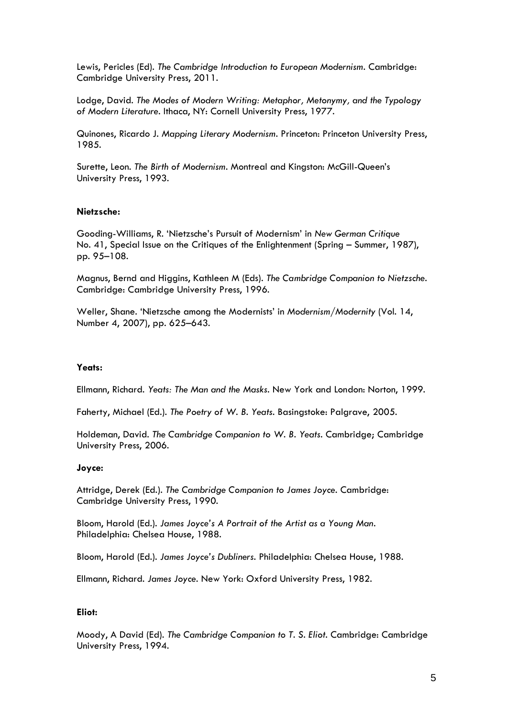Lewis, Pericles (Ed). *The Cambridge Introduction to European Modernism*. Cambridge: Cambridge University Press, 2011.

Lodge, David. *The Modes of Modern Writing: Metaphor, Metonymy, and the Typology of Modern Literature*. Ithaca, NY: Cornell University Press, 1977.

Quinones, Ricardo J. *Mapping Literary Modernism*. Princeton: Princeton University Press, 1985.

Surette, Leon. *The Birth of Modernism*. Montreal and Kingston: McGill-Queen's University Press, 1993.

## **Nietzsche:**

Gooding-Williams, R. 'Nietzsche's Pursuit of Modernism' in *New German Critique* No. 41, Special Issue on the Critiques of the Enlightenment (Spring – Summer, 1987), pp. 95–108.

Magnus, Bernd and Higgins, Kathleen M (Eds). *The Cambridge Companion to Nietzsche*. Cambridge: Cambridge University Press, 1996.

Weller, Shane. 'Nietzsche among the Modernists' in *Modernism/Modernity* [\(Vol. 14,](https://muse.jhu.edu/journals/modernism-modernity/toc/mod14.4.html)  [Number 4, 2007\)](https://muse.jhu.edu/journals/modernism-modernity/toc/mod14.4.html), pp. 625–643.

## **Yeats:**

Ellmann, Richard. *Yeats: The Man and the Masks*. New York and London: Norton, 1999.

Faherty, Michael (Ed.). *The Poetry of W. B. Yeats*. Basingstoke: Palgrave, 2005.

Holdeman, David. *The Cambridge Companion to W. B. Yeats*. Cambridge; Cambridge University Press, 2006.

#### **Joyce:**

Attridge, Derek (Ed.). *The Cambridge Companion to James Joyce*. Cambridge: Cambridge University Press, 1990.

Bloom, Harold (Ed.). *James Joyce's A Portrait of the Artist as a Young Man*. Philadelphia: Chelsea House, 1988.

Bloom, Harold (Ed.). *James Joyce's Dubliners*. Philadelphia: Chelsea House, 1988.

Ellmann, Richard. *James Joyce*. New York: Oxford University Press, 1982.

## **Eliot:**

Moody, A David (Ed). *The Cambridge Companion to T. S. Eliot*. Cambridge: Cambridge University Press, 1994.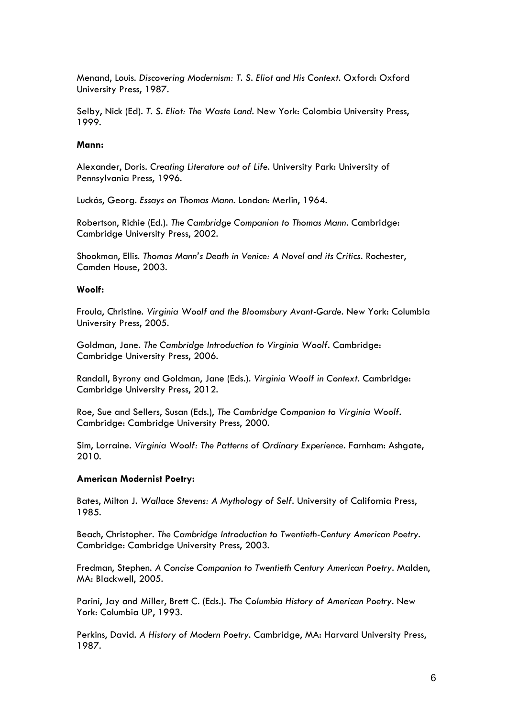Menand, Louis. *Discovering Modernism: T. S. Eliot and His Context*. Oxford: Oxford University Press, 1987.

Selby, Nick (Ed). *T. S. Eliot: The Waste Land*. New York: Colombia University Press, 1999.

## **Mann:**

Alexander, Doris. *Creating Literature out of Life*. University Park: University of Pennsylvania Press, 1996.

Luckás, Georg. *Essays on Thomas Mann*. London: Merlin, 1964.

Robertson, Richie (Ed.). *The Cambridge Companion to Thomas Mann*. Cambridge: Cambridge University Press, 2002.

Shookman, Ellis. *Thomas Mann's Death in Venice: A Novel and its Critics*. Rochester, Camden House, 2003.

## **Woolf:**

Froula, Christine. *Virginia Woolf and the Bloomsbury Avant-Garde*. New York: Columbia University Press, 2005.

Goldman, Jane. *The Cambridge Introduction to Virginia Woolf*. Cambridge: Cambridge University Press, 2006.

Randall, Byrony and Goldman, Jane (Eds.). *Virginia Woolf in Context*. Cambridge: Cambridge University Press, 2012.

Roe, Sue and Sellers, Susan (Eds.), *The Cambridge Companion to Virginia Woolf*. Cambridge: Cambridge University Press, 2000.

Sim, Lorraine. *Virginia Woolf: The Patterns of Ordinary Experience*. Farnham: Ashgate, 2010.

## **American Modernist Poetry:**

Bates, Milton J. *Wallace Stevens: A Mythology of Self*. University of California Press, 1985.

Beach, Christopher. *The Cambridge Introduction to Twentieth-Century American Poetry*. Cambridge: Cambridge University Press, 2003.

Fredman, Stephen. *A Concise Companion to Twentieth Century American Poetry*. Malden, MA: Blackwell, 2005.

Parini, Jay and Miller, Brett C. (Eds.). *The Columbia History of American Poetry*. New York: Columbia UP, 1993.

Perkins, David. *A History of Modern Poetry*. Cambridge, MA: Harvard University Press, 1987.